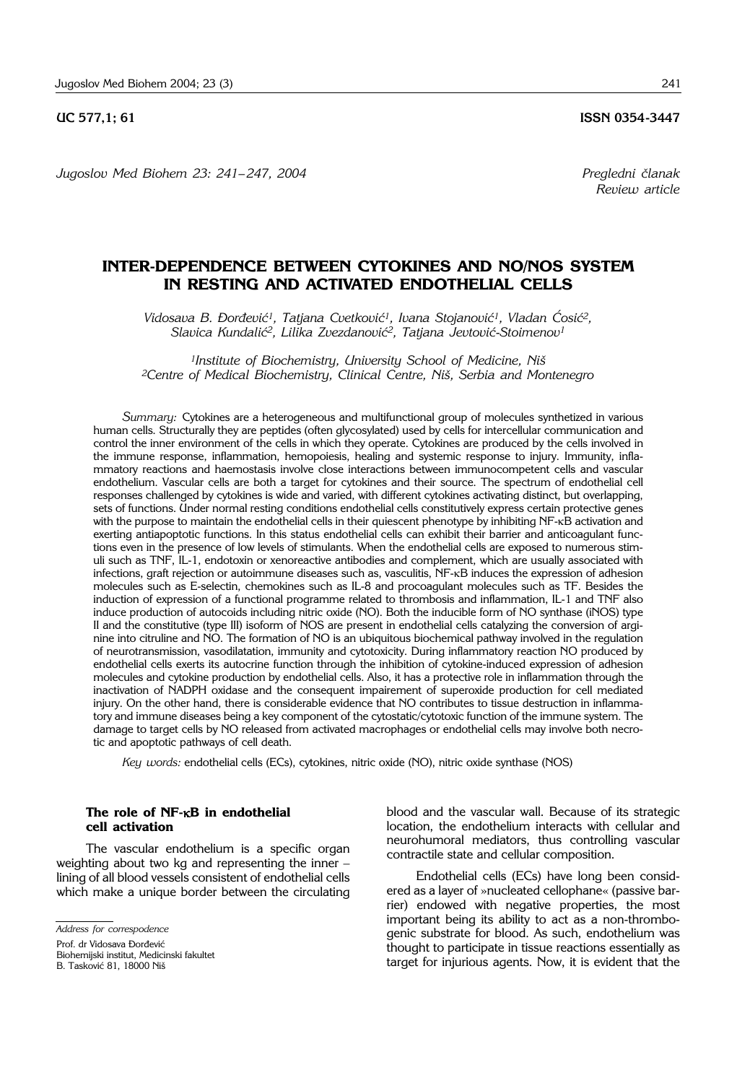## **UC 577.1; 61 ISSN 0354-3447**

*Jugoslov Med Biohem 23: 241– 247, 2004 Pregledni ~lanak*

## **INTER-DEPENDENCE BETWEEN CYTOKINES AND NO/NOS SYSTEM IN RESTING AND ACTIVATED ENDOTHELIAL CELLS**

Vidosava B. Đorđević<sup>1</sup>, Tatjana Cvetković<sup>1</sup>, Ivana Stojanović<sup>1</sup>, Vladan Cosić<sup>2</sup>, *Slavica Kundali}2, Lilika Zvezdanovi}2, Tatjana Jevtovi}*-*Stoimenov1*

<sup>1</sup> Institute of Biochemistry, University School of Medicine, Niš *2Centre of Medical Biochemistry, Clinical Centre, Ni{, Serbia and Montenegro*

*Summary:* Cytokines are a heterogeneous and multifunctional group of molecules synthetized in various human cells. Structurally they are peptides (often glycosylated) used by cells for intercellular communication and control the inner environment of the cells in which they operate. Cytokines are produced by the cells involved in the immune response, inflammation, hemopoiesis, healing and systemic response to injury. Immunity, inflammatory reactions and haemostasis involve close interactions between immunocompetent cells and vascular endothelium. Vascular cells are both a target for cytokines and their source. The spectrum of endothelial cell responses challenged by cytokines is wide and varied, with different cytokines activating distinct, but overlapping, sets of functions. Under normal resting conditions endothelial cells constitutively express certain protective genes with the purpose to maintain the endothelial cells in their quiescent phenotype by inhibiting NF-kB activation and exerting antiapoptotic functions. In this status endothelial cells can exhibit their barrier and anticoagulant functions even in the presence of low levels of stimulants. When the endothelial cells are exposed to numerous stimuli such as TNF, IL-1, endotoxin or xenoreactive antibodies and complement, which are usually associated with infections, graft rejection or autoimmune diseases such as, vasculitis, NF-kB induces the expression of adhesion molecules such as E-selectin, chemokines such as IL-8 and procoagulant molecules such as TF. Besides the induction of expression of a functional programme related to thrombosis and inflammation, IL-1 and TNF also induce production of autocoids including nitric oxide (NO). Both the inducible form of NO synthase (iNOS) type II and the constitutive (type III) isoform of NOS are present in endothelial cells catalyzing the conversion of arginine into citruline and NO. The formation of NO is an ubiquitous biochemical pathway involved in the regulation of neurotransmission, vasodilatation, immunity and cytotoxicity. During inflammatory reaction NO produced by endothelial cells exerts its autocrine function through the inhibition of cytokine-induced expression of adhesion molecules and cytokine production by endothelial cells. Also, it has a protective role in inflammation through the inactivation of NADPH oxidase and the consequent impairement of superoxide production for cell mediated injury. On the other hand, there is considerable evidence that NO contributes to tissue destruction in inflammatory and immune diseases being a key component of the cytostatic/cytotoxic function of the immune system. The damage to target cells by NO released from activated macrophages or endothelial cells may involve both necrotic and apoptotic pathways of cell death.

*Key words:* endothelial cells (ECs), cytokines, nitric oxide (NO), nitric oxide synthase (NOS)

### **The role of NF-**k**B in endothelial cell activation**

The vascular endothelium is a specific organ weighting about two kg and representing the inner – lining of all blood vessels consistent of endothelial cells which make a unique border between the circulating

Prof. dr Vidosava Đorđević

Biohemijski institut, Medicinski fakultet

blood and the vascular wall. Because of its strategic location, the endothelium interacts with cellular and neurohumoral mediators, thus controlling vascular contractile state and cellular composition.

Endothelial cells (ECs) have long been considered as a layer of »nucleated cellophane« (passive barrier) endowed with negative properties, the most important being its ability to act as a non-thrombogenic substrate for blood. As such, endothelium was thought to participate in tissue reactions essentially as target for injurious agents. Now, it is evident that the

*Review article*

*Address for correspodence*

B. Tasković 81, 18000 Niš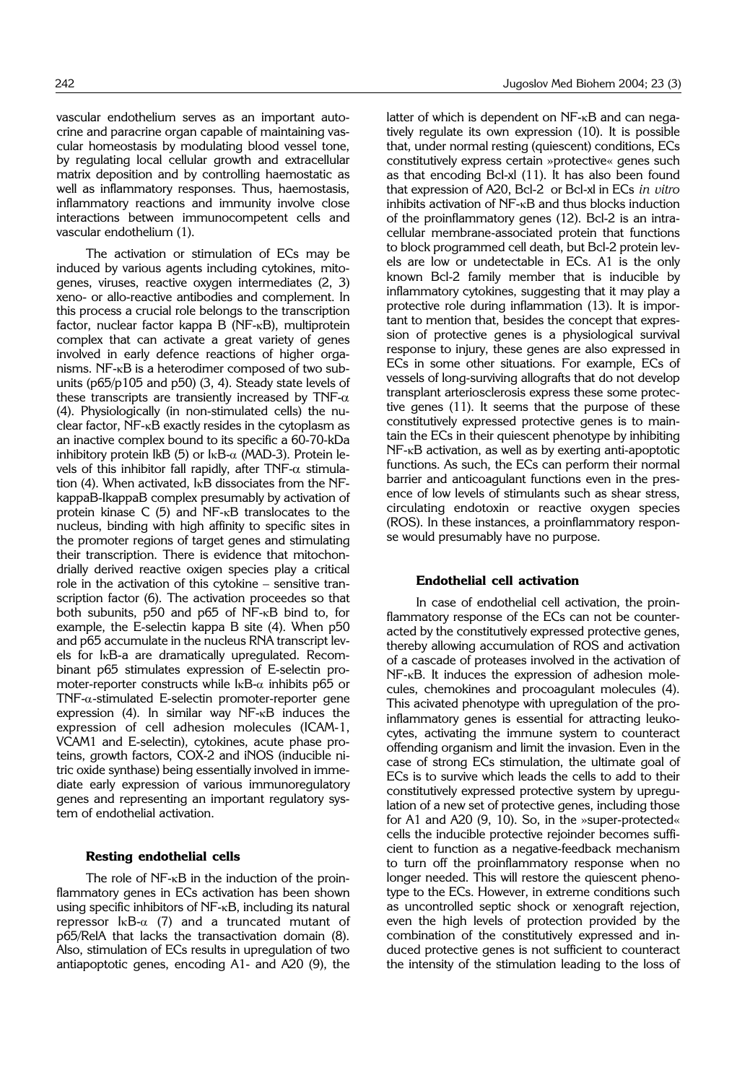vascular endothelium serves as an important autocrine and paracrine organ capable of maintaining vascular homeostasis by modulating blood vessel tone, by regulating local cellular growth and extracellular matrix deposition and by controlling haemostatic as well as inflammatory responses. Thus, haemostasis, inflammatory reactions and immunity involve close interactions between immunocompetent cells and vascular endothelium (1).

The activation or stimulation of ECs may be induced by various agents including cytokines, mitogenes, viruses, reactive oxygen intermediates (2, 3) xeno- or allo-reactive antibodies and complement. In this process a crucial role belongs to the transcription factor, nuclear factor kappa B (NF-kB), multiprotein complex that can activate a great variety of genes involved in early defence reactions of higher organisms. NF-kB is a heterodimer composed of two subunits ( $p65/p105$  and  $p50$ ) (3, 4). Steady state levels of these transcripts are transiently increased by TNF- $\alpha$ (4). Physiologically (in non-stimulated cells) the nuclear factor,  $NF - \kappa B$  exactly resides in the cytoplasm as an inactive complex bound to its specific a 60-70-kDa inhibitory protein IkB (5) or  $I_{\kappa}B_{-\alpha}$  (MAD-3). Protein levels of this inhibitor fall rapidly, after TNF- $\alpha$  stimulation (4). When activated, IkB dissociates from the NFkappaB-IkappaB complex presumably by activation of protein kinase  $C$  (5) and NF- $k$ B translocates to the nucleus, binding with high affinity to specific sites in the promoter regions of target genes and stimulating their transcription. There is evidence that mitochondrially derived reactive oxigen species play a critical role in the activation of this cytokine – sensitive transcription factor (6). The activation proceedes so that both subunits, p50 and p65 of NF-kB bind to, for example, the E-selectin kappa B site (4). When p50 and p65 accumulate in the nucleus RNA transcript levels for IkB-a are dramatically upregulated. Recombinant p65 stimulates expression of E-selectin promoter-reporter constructs while  $\text{lkB-}\alpha$  inhibits p65 or  $TNF-\alpha$ -stimulated E-selectin promoter-reporter gene expression (4). In similar way NF-kB induces the expression of cell adhesion molecules (ICAM-1, VCAM1 and E-selectin), cytokines, acute phase proteins, growth factors, COX-2 and iNOS (inducible nitric oxide synthase) being essentially involved in immediate early expression of various immunoregulatory genes and representing an important regulatory system of endothelial activation.

#### **Resting endothelial cells**

The role of NF- $\kappa$ B in the induction of the proinflammatory genes in ECs activation has been shown using specific inhibitors of NF-<sub>K</sub>B, including its natural repressor  $I \kappa B$ - $\alpha$  (7) and a truncated mutant of p65/RelA that lacks the transactivation domain (8). Also, stimulation of ECs results in upregulation of two antiapoptotic genes, encoding A1- and A20 (9), the latter of which is dependent on NF-<sub>K</sub>B and can negatively regulate its own expression (10). It is possible that, under normal resting (quiescent) conditions, ECs constitutively express certain »protective« genes such as that encoding Bcl-xl (11). It has also been found that expression of A20, Bcl-2 or Bcl-xl in ECs *in vitro* inhibits activation of NF-kB and thus blocks induction of the proinflammatory genes (12). Bcl-2 is an intracellular membrane-associated protein that functions to block programmed cell death, but Bcl-2 protein levels are low or undetectable in ECs. A1 is the only known Bcl-2 family member that is inducible by inflammatory cytokines, suggesting that it may play a protective role during inflammation (13). It is important to mention that, besides the concept that expression of protective genes is a physiological survival response to injury, these genes are also expressed in ECs in some other situations. For example, ECs of vessels of long-surviving allografts that do not develop transplant arteriosclerosis express these some protective genes (11). It seems that the purpose of these constitutively expressed protective genes is to maintain the ECs in their quiescent phenotype by inhibiting NF-<sub>K</sub>B activation, as well as by exerting anti-apoptotic functions. As such, the ECs can perform their normal barrier and anticoagulant functions even in the presence of low levels of stimulants such as shear stress, circulating endotoxin or reactive oxygen species (ROS). In these instances, a proinflammatory response would presumably have no purpose.

#### **Endothelial cell activation**

In case of endothelial cell activation, the proinflammatory response of the ECs can not be counteracted by the constitutively expressed protective genes, thereby allowing accumulation of ROS and activation of a cascade of proteases involved in the activation of NF-<sub>K</sub>B. It induces the expression of adhesion molecules, chemokines and procoagulant molecules (4). This acivated phenotype with upregulation of the proinflammatory genes is essential for attracting leukocytes, activating the immune system to counteract offending organism and limit the invasion. Even in the case of strong ECs stimulation, the ultimate goal of ECs is to survive which leads the cells to add to their constitutively expressed protective system by upregulation of a new set of protective genes, including those for A1 and A20 (9, 10). So, in the »super-protected« cells the inducible protective rejoinder becomes sufficient to function as a negative-feedback mechanism to turn off the proinflammatory response when no longer needed. This will restore the quiescent phenotype to the ECs. However, in extreme conditions such as uncontrolled septic shock or xenograft rejection, even the high levels of protection provided by the combination of the constitutively expressed and induced protective genes is not sufficient to counteract the intensity of the stimulation leading to the loss of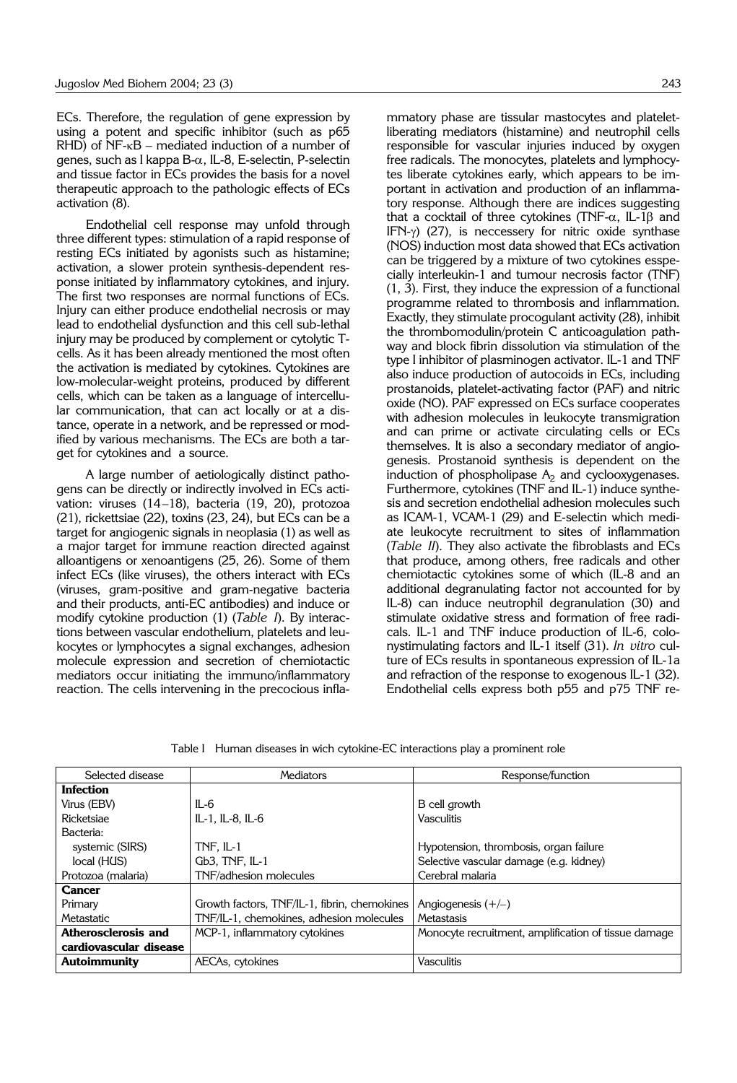ECs. Therefore, the regulation of gene expression by using a potent and specific inhibitor (such as p65  $RHD$ ) of NF- $\kappa B$  – mediated induction of a number of genes, such as I kappa B-a, IL-8, E-selectin, P-selectin and tissue factor in ECs provides the basis for a novel therapeutic approach to the pathologic effects of ECs activation (8).

Endothelial cell response may unfold through three different types: stimulation of a rapid response of resting ECs initiated by agonists such as histamine; activation, a slower protein synthesis-dependent response initiated by inflammatory cytokines, and injury. The first two responses are normal functions of ECs. Injury can either produce endothelial necrosis or may lead to endothelial dysfunction and this cell sub-lethal injury may be produced by complement or cytolytic Tcells. As it has been already mentioned the most often the activation is mediated by cytokines. Cytokines are low-molecular-weight proteins, produced by different cells, which can be taken as a language of intercellular communication, that can act locally or at a distance, operate in a network, and be repressed or modified by various mechanisms. The ECs are both a target for cytokines and a source.

A large number of aetiologically distinct pathogens can be directly or indirectly involved in ECs activation: viruses (14–18), bacteria (19, 20), protozoa (21), rickettsiae (22), toxins (23, 24), but ECs can be a target for angiogenic signals in neoplasia (1) as well as a major target for immune reaction directed against alloantigens or xenoantigens (25, 26). Some of them infect ECs (like viruses), the others interact with ECs (viruses, gram-positive and gram-negative bacteria and their products, anti-EC antibodies) and induce or modify cytokine production (1) (*Table I*). By interactions between vascular endothelium, platelets and leukocytes or lymphocytes a signal exchanges, adhesion molecule expression and secretion of chemiotactic mediators occur initiating the immuno/inflammatory reaction. The cells intervening in the precocious inflammatory phase are tissular mastocytes and plateletliberating mediators (histamine) and neutrophil cells responsible for vascular injuries induced by oxygen free radicals. The monocytes, platelets and lymphocytes liberate cytokines early, which appears to be important in activation and production of an inflammatory response. Although there are indices suggesting that a cocktail of three cytokines (TNF- $\alpha$ , IL-1 $\beta$  and IFN- $\gamma$ ) (27), is neccessery for nitric oxide synthase (NOS) induction most data showed that ECs activation can be triggered by a mixture of two cytokines esspecially interleukin-1 and tumour necrosis factor (TNF) (1, 3). First, they induce the expression of a functional programme related to thrombosis and inflammation. Exactly, they stimulate procogulant activity (28), inhibit the thrombomodulin/protein C anticoagulation pathway and block fibrin dissolution via stimulation of the type I inhibitor of plasminogen activator. IL-1 and TNF also induce production of autocoids in ECs, including prostanoids, platelet-activating factor (PAF) and nitric oxide (NO). PAF expressed on ECs surface cooperates with adhesion molecules in leukocyte transmigration and can prime or activate circulating cells or ECs themselves. It is also a secondary mediator of angiogenesis. Prostanoid synthesis is dependent on the induction of phospholipase  $A_2$  and cyclooxygenases. Furthermore, cytokines (TNF and IL-1) induce synthesis and secretion endothelial adhesion molecules such as ICAM-1, VCAM-1 (29) and E-selectin which mediate leukocyte recruitment to sites of inflammation (*Table II*). They also activate the fibroblasts and ECs that produce, among others, free radicals and other chemiotactic cytokines some of which (IL-8 and an additional degranulating factor not accounted for by IL-8) can induce neutrophil degranulation (30) and stimulate oxidative stress and formation of free radicals. IL-1 and TNF induce production of IL-6, colonystimulating factors and IL-1 itself (31). *In vitro* culture of ECs results in spontaneous expression of IL-1a and refraction of the response to exogenous IL-1 (32). Endothelial cells express both p55 and p75 TNF re-

Table I Human diseases in wich cytokine-EC interactions play a prominent role

| Selected disease       | Mediators                                    | Response/function                                    |  |
|------------------------|----------------------------------------------|------------------------------------------------------|--|
| <b>Infection</b>       |                                              |                                                      |  |
| Virus (EBV)            | IL-6                                         | B cell growth                                        |  |
| Ricketsiae             | IL-1, IL-8, IL-6                             | Vasculitis                                           |  |
| Bacteria:              |                                              |                                                      |  |
| systemic (SIRS)        | TNF. IL-1                                    | Hypotension, thrombosis, organ failure               |  |
| local (HUS)            | Gb3, TNF, IL-1                               | Selective vascular damage (e.g. kidney)              |  |
| Protozoa (malaria)     | TNF/adhesion molecules                       | Cerebral malaria                                     |  |
| <b>Cancer</b>          |                                              |                                                      |  |
| Primary                | Growth factors, TNF/IL-1, fibrin, chemokines | Angiogenesis $(+/-)$                                 |  |
| Metastatic             | TNF/IL-1, chemokines, adhesion molecules     | Metastasis                                           |  |
| Atherosclerosis and    | MCP-1, inflammatory cytokines                | Monocyte recruitment, amplification of tissue damage |  |
| cardiovascular disease |                                              |                                                      |  |
| <b>Autoimmunity</b>    | AECAs, cytokines                             | Vasculitis                                           |  |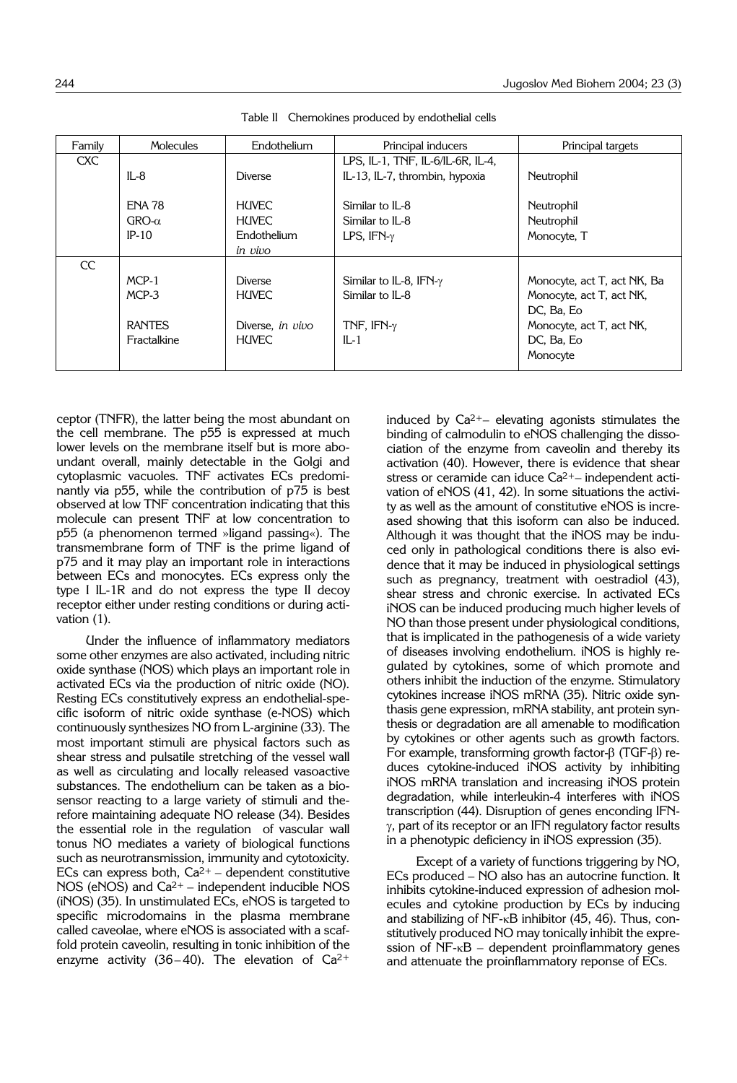| Molecules                                      | Endothelium                                                        | Principal inducers                                                                | Principal targets                                                                                                           |
|------------------------------------------------|--------------------------------------------------------------------|-----------------------------------------------------------------------------------|-----------------------------------------------------------------------------------------------------------------------------|
| $IL-8$                                         | <b>Diverse</b>                                                     | LPS, IL-1, TNF, IL-6/IL-6R, IL-4,<br>IL-13, IL-7, thrombin, hypoxia               | Neutrophil                                                                                                                  |
| <b>ENA 78</b><br>$GRO-\alpha$<br>$IP-10$       | <b>HUVEC</b><br>HIN <sub>FC</sub><br>Endothelium<br>in vivo        | Similar to IL-8<br>Similar to IL-8<br>LPS, $IFN-\gamma$                           | Neutrophil<br>Neutrophil<br>Monocyte, T                                                                                     |
|                                                |                                                                    |                                                                                   |                                                                                                                             |
| MCP-1<br>MCP-3<br><b>RANTES</b><br>Fractalkine | <b>Diverse</b><br><b>HUVEC</b><br>Diverse, in vivo<br><b>HUVEC</b> | Similar to IL-8, IFN- $\gamma$<br>Similar to IL-8<br>TNF, IFN- $\gamma$<br>$IL-1$ | Monocyte, act T, act NK, Ba<br>Monocyte, act T, act NK,<br>DC, Ba, Eo<br>Monocyte, act T, act NK,<br>DC, Ba, Eo<br>Monocyte |
|                                                |                                                                    |                                                                                   |                                                                                                                             |

Table II Chemokines produced by endothelial cells

ceptor (TNFR), the latter being the most abundant on the cell membrane. The p55 is expressed at much lower levels on the membrane itself but is more aboundant overall, mainly detectable in the Golgi and cytoplasmic vacuoles. TNF activates ECs predominantly via p55, while the contribution of p75 is best observed at low TNF concentration indicating that this molecule can present TNF at low concentration to p55 (a phenomenon termed »ligand passing«). The transmembrane form of TNF is the prime ligand of p75 and it may play an important role in interactions between ECs and monocytes. ECs express only the type I IL-1R and do not express the type II decoy receptor either under resting conditions or during activation (1).

Under the influence of inflammatory mediators some other enzymes are also activated, including nitric oxide synthase (NOS) which plays an important role in activated ECs via the production of nitric oxide (NO). Resting ECs constitutively express an endothelial-specific isoform of nitric oxide synthase (e-NOS) which continuously synthesizes NO from L-arginine (33). The most important stimuli are physical factors such as shear stress and pulsatile stretching of the vessel wall as well as circulating and locally released vasoactive substances. The endothelium can be taken as a biosensor reacting to a large variety of stimuli and therefore maintaining adequate NO release (34). Besides the essential role in the regulation of vascular wall tonus NO mediates a variety of biological functions such as neurotransmission, immunity and cytotoxicity. ECs can express both,  $Ca^{2+}$  – dependent constitutive NOS (eNOS) and  $Ca<sup>2+</sup> – independent inducible NOS$ (iNOS) (35). In unstimulated ECs, eNOS is targeted to specific microdomains in the plasma membrane called caveolae, where eNOS is associated with a scaffold protein caveolin, resulting in tonic inhibition of the enzyme activity (36-40). The elevation of  $Ca^{2+}$ 

induced by  $Ca^{2+}-$  elevating agonists stimulates the binding of calmodulin to eNOS challenging the dissociation of the enzyme from caveolin and thereby its activation (40). However, there is evidence that shear stress or ceramide can iduce Ca2+– independent activation of eNOS (41, 42). In some situations the activity as well as the amount of constitutive eNOS is increased showing that this isoform can also be induced. Although it was thought that the iNOS may be induced only in pathological conditions there is also evidence that it may be induced in physiological settings such as pregnancy, treatment with oestradiol (43), shear stress and chronic exercise. In activated ECs iNOS can be induced producing much higher levels of NO than those present under physiological conditions, that is implicated in the pathogenesis of a wide variety of diseases involving endothelium. iNOS is highly regulated by cytokines, some of which promote and others inhibit the induction of the enzyme. Stimulatory cytokines increase iNOS mRNA (35). Nitric oxide synthasis gene expression, mRNA stability, ant protein synthesis or degradation are all amenable to modification by cytokines or other agents such as growth factors. For example, transforming growth factor- $\beta$  (TGF- $\beta$ ) reduces cytokine-induced iNOS activity by inhibiting iNOS mRNA translation and increasing iNOS protein degradation, while interleukin-4 interferes with iNOS transcription (44). Disruption of genes enconding IFN- $\gamma$ , part of its receptor or an IFN regulatory factor results in a phenotypic deficiency in iNOS expression (35).

Except of a variety of functions triggering by NO, ECs produced – NO also has an autocrine function. It inhibits cytokine-induced expression of adhesion molecules and cytokine production by ECs by inducing and stabilizing of NF-<sub>K</sub>B inhibitor (45, 46). Thus, constitutively produced NO may tonically inhibit the expression of  $NF - \kappa B$  – dependent proinflammatory genes and attenuate the proinflammatory reponse of ECs.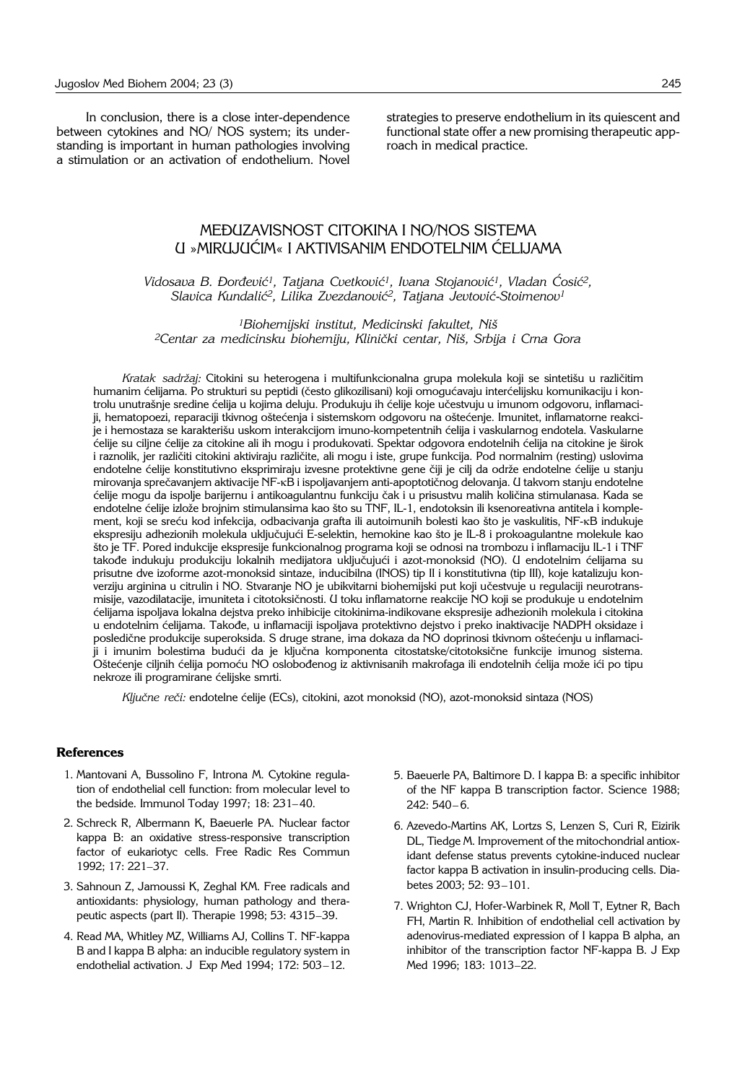In conclusion, there is a close inter-dependence between cytokines and NO/ NOS system; its understanding is important in human pathologies involving a stimulation or an activation of endothelium. Novel strategies to preserve endothelium in its quiescent and functional state offer a new promising therapeutic approach in medical practice.

# MEĐUZAVISNOST CITOKINA I NO/NOS SISTEMA U »MIRUJUĆIM« I AKTIVISANIM ENDOTELNIM ĆELIJAMA

Vidosava B. Đorđević<sup>1</sup>, Tatjana Cvetković<sup>1</sup>, Ivana Stojanović<sup>1</sup>, Vladan Cosić<sup>2</sup>, *Slavica Kundali}2, Lilika Zvezdanovi}2, Tatjana Jevtovi}*-*Stoimenov1*

*1Biohemijski institut, Medicinski fakultet, Ni{ 2Centar za medicinsku biohemiju, Klini~ki centar, Ni{, Srbija i Crna Gora*

Kratak sadržaį: Citokini su heterogena i multifunkcionalna grupa molekula koji se sintetišu u različitim humanim ćelijama. Po strukturi su peptidi (često glikozilisani) koji omogućavaju interćelijsku komunikaciju i kontrolu unutrašnje sredine ćelija u kojima deluju. Produkuju ih ćelije koje učestvuju u imunom odgovoru, inflamaciji, hematopoezi, reparaciji tkivnog oštećenja i sistemskom odgovoru na oštećenje. Imunitet, inflamatorne reakcije i hemostaza se karakterišu uskom interakcijom imuno-kompetentnih ćelija i vaskularnog endotela. Vaskularne ćelije su ciljne ćelije za citokine ali ih mogu i produkovati. Spektar odgovora endotelnih ćelija na citokine je širok i raznolik, jer različiti citokini aktiviraju različite, ali mogu i iste, grupe funkcija. Pod normalnim (resting) uslovima endotelne ćelije konstitutivno eksprimiraju izvesne protektivne gene čiji je cilj da održe endotelne ćelije u stanju mirovanja sprečavanjem aktivacije NF-kB i ispoljavanjem anti-apoptotičnog delovanja. U takvom stanju endotelne ćelije mogu da ispolje barijernu i antikoagulantnu funkciju čak i u prisustvu malih količina stimulanasa. Kada se endotelne ćelije izlože brojnim stimulansima kao što su TNF, IL-1, endotoksin ili ksenoreativna antitela i komplement, koji se sreću kod infekcija, odbacivanja grafta ili autoimunih bolesti kao što je vaskulitis, NF-kB indukuje ekspresiju adhezionih molekula uključujući E-selektin, hemokine kao što je IL-8 i prokoagulantne molekule kao što je TF. Pored indukcije ekspresije funkcionalnog programa koji se odnosi na trombozu i inflamaciju IL-1 i TNF takođe indukuju produkciju lokalnih medijatora uključujući i azot-monoksid (NO). U endotelnim ćelijama su prisutne dve izoforme azot-monoksid sintaze, inducibilna (INOS) tip II i konstitutivna (tip III), koje katalizuju kon-.<br>verziju arginina u citrulin i NO. Stvaranje NO je ubikvitarni biohemijski put koji učestvuje u regulaciji neurotransmisije, vazodilatacije, imuniteta i citotoksičnosti. U toku inflamatorne reakcije NO koji se produkuje u endotelnim ćelijama ispoljava lokalna dejstva preko inhibicije citokinima-indikovane ekspresije adhezionih molekula i citokina u endotelnim ćelijama. Takođe, u inflamaciji ispoljava protektivno dejstvo i preko inaktivacije NADPH oksidaze i posledične produkcije superoksida. S druge strane, ima dokaza da NO doprinosi tkivnom oštećenju u inflamaciji i imunim bolestima budući da je ključna komponenta citostatske/citotoksične funkcije imunog sistema. Oštećenje ciljnih ćelija pomoću NO oslobođenog iz aktivnisanih makrofaga ili endotelnih ćelija može ići po tipu nekroze ili programirane ćelijske smrti.

Ključne reči: endotelne ćelije (ECs), citokini, azot monoksid (NO), azot-monoksid sintaza (NOS)

## **References**

- 1. Mantovani A, Bussolino F, Introna M. Cytokine regulation of endothelial cell function: from molecular level to the bedside. Immunol Today 1997; 18: 231– 40.
- 2. Schreck R, Albermann K, Baeuerle PA. Nuclear factor kappa B: an oxidative stress-responsive transcription factor of eukariotyc cells. Free Radic Res Commun 1992; 17: 221–37.
- 3. Sahnoun Z, Jamoussi K, Zeghal KM. Free radicals and antioxidants: physiology, human pathology and therapeutic aspects (part II). Therapie 1998; 53: 4315–39.
- 4. Read MA, Whitley MZ, Williams AJ, Collins T. NF-kappa B and I kappa B alpha: an inducible regulatory system in endothelial activation. J Exp Med 1994; 172: 503–12.
- 5. Baeuerle PA, Baltimore D. I kappa B: a specific inhibitor of the NF kappa B transcription factor. Science 1988; 242: 540– 6.
- 6. Azevedo-Martins AK, Lortzs S, Lenzen S, Curi R, Eizirik DL, Tiedge M. Improvement of the mitochondrial antioxidant defense status prevents cytokine-induced nuclear factor kappa B activation in insulin-producing cells. Diabetes 2003; 52: 93–101.
- 7. Wrighton CJ, Hofer-Warbinek R, Moll T, Eytner R, Bach FH, Martin R. Inhibition of endothelial cell activation by adenovirus-mediated expression of I kappa B alpha, an inhibitor of the transcription factor NF-kappa B. J Exp Med 1996; 183: 1013–22.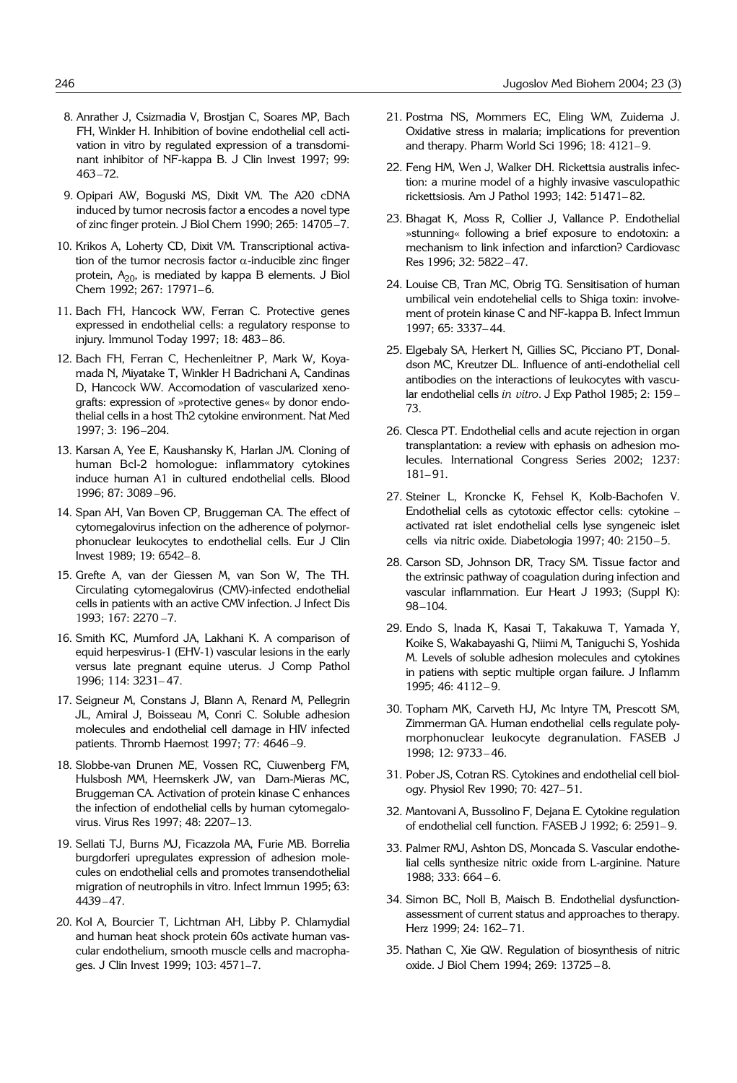- 8. Anrather J, Csizmadia V, Brostjan C, Soares MP, Bach FH, Winkler H. Inhibition of bovine endothelial cell activation in vitro by regulated expression of a transdominant inhibitor of NF-kappa B. J Clin Invest 1997; 99: 463–72.
- 9. Opipari AW, Boguski MS, Dixit VM. The A20 cDNA induced by tumor necrosis factor a encodes a novel type of zinc finger protein. J Biol Chem 1990; 265: 14705–7.
- 10. Krikos A, Loherty CD, Dixit VM. Transcriptional activation of the tumor necrosis factor  $\alpha$ -inducible zinc finger protein,  $A_{20}$ , is mediated by kappa B elements. J Biol Chem 1992; 267: 17971–6.
- 11. Bach FH, Hancock WW, Ferran C. Protective genes expressed in endothelial cells: a regulatory response to injury. Immunol Today 1997; 18: 483– 86.
- 12. Bach FH, Ferran C, Hechenleitner P, Mark W, Koyamada N, Miyatake T, Winkler H Badrichani A, Candinas D, Hancock WW. Accomodation of vascularized xenografts: expression of »protective genes« by donor endothelial cells in a host Th2 cytokine environment. Nat Med 1997; 3: 196–204.
- 13. Karsan A, Yee E, Kaushansky K, Harlan JM. Cloning of human Bcl-2 homologue: inflammatory cytokines induce human A1 in cultured endothelial cells. Blood 1996; 87: 3089 –96.
- 14. Span AH, Van Boven CP, Bruggeman CA. The effect of cytomegalovirus infection on the adherence of polymorphonuclear leukocytes to endothelial cells. Eur J Clin Invest 1989; 19: 6542– 8.
- 15. Grefte A, van der Giessen M, van Son W, The TH. Circulating cytomegalovirus (CMV)-infected endothelial cells in patients with an active CMV infection. J Infect Dis 1993; 167: 2270 –7.
- 16. Smith KC, Mumford JA, Lakhani K. A comparison of equid herpesvirus-1 (EHV-1) vascular lesions in the early versus late pregnant equine uterus. J Comp Pathol 1996; 114: 3231– 47.
- 17. Seigneur M, Constans J, Blann A, Renard M, Pellegrin JL, Amiral J, Boisseau M, Conri C. Soluble adhesion molecules and endothelial cell damage in HIV infected patients. Thromb Haemost 1997; 77: 4646 –9.
- 18. Slobbe-van Drunen ME, Vossen RC, Ciuwenberg FM, Hulsbosh MM, Heemskerk JW, van Dam-Mieras MC, Bruggeman CA. Activation of protein kinase C enhances the infection of endothelial cells by human cytomegalovirus. Virus Res 1997; 48: 2207–13.
- 19. Sellati TJ, Burns MJ, Ficazzola MA, Furie MB. Borrelia burgdorferi upregulates expression of adhesion molecules on endothelial cells and promotes transendothelial migration of neutrophils in vitro. Infect Immun 1995; 63: 4439–47.
- 20. Kol A, Bourcier T, Lichtman AH, Libby P. Chlamydial and human heat shock protein 60s activate human vascular endothelium, smooth muscle cells and macrophages. J Clin Invest 1999; 103: 4571–7.
- 21. Postma NS, Mommers EC, Eling WM, Zuidema J. Oxidative stress in malaria; implications for prevention and therapy. Pharm World Sci 1996; 18: 4121– 9.
- 22. Feng HM, Wen J, Walker DH. Rickettsia australis infection: a murine model of a highly invasive vasculopathic rickettsiosis. Am J Pathol 1993; 142: 51471– 82.
- 23. Bhagat K, Moss R, Collier J, Vallance P. Endothelial »stunning« following a brief exposure to endotoxin: a mechanism to link infection and infarction? Cardiovasc Res 1996; 32: 5822– 47.
- 24. Louise CB, Tran MC, Obrig TG. Sensitisation of human umbilical vein endotehelial cells to Shiga toxin: involvement of protein kinase C and NF-kappa B. Infect Immun 1997; 65: 3337– 44.
- 25. Elgebaly SA, Herkert N, Gillies SC, Picciano PT, Donaldson MC, Kreutzer DL. Influence of anti-endothelial cell antibodies on the interactions of leukocytes with vascular endothelial cells *in vitro*. J Exp Pathol 1985; 2: 159 – 73.
- 26. Clesca PT. Endothelial cells and acute rejection in organ transplantation: a review with ephasis on adhesion molecules. International Congress Series 2002; 1237: 181– 91.
- 27. Steiner L, Kroncke K, Fehsel K, Kolb-Bachofen V. Endothelial cells as cytotoxic effector cells: cytokine – activated rat islet endothelial cells lyse syngeneic islet cells via nitric oxide. Diabetologia 1997; 40: 2150– 5.
- 28. Carson SD, Johnson DR, Tracy SM. Tissue factor and the extrinsic pathway of coagulation during infection and vascular inflammation. Eur Heart J 1993; (Suppl K): 98–104.
- 29. Endo S, Inada K, Kasai T, Takakuwa T, Yamada Y, Koike S, Wakabayashi G, Niimi M, Taniguchi S, Yoshida M. Levels of soluble adhesion molecules and cytokines in patiens with septic multiple organ failure. J Inflamm 1995; 46: 4112– 9.
- 30. Topham MK, Carveth HJ, Mc Intyre TM, Prescott SM, Zimmerman GA. Human endothelial cells regulate polymorphonuclear leukocyte degranulation. FASEB J 1998; 12: 9733– 46.
- 31. Pober JS, Cotran RS. Cytokines and endothelial cell biology. Physiol Rev 1990; 70: 427– 51.
- 32. Mantovani A, Bussolino F, Dejana E. Cytokine regulation of endothelial cell function. FASEB J 1992; 6: 2591– 9.
- 33. Palmer RMJ, Ashton DS, Moncada S. Vascular endothelial cells synthesize nitric oxide from L-arginine. Nature 1988; 333: 664 – 6.
- 34. Simon BC, Noll B, Maisch B. Endothelial dysfunctionassessment of current status and approaches to therapy. Herz 1999; 24: 162– 71.
- 35. Nathan C, Xie QW. Regulation of biosynthesis of nitric oxide. J Biol Chem 1994; 269: 13725 – 8.